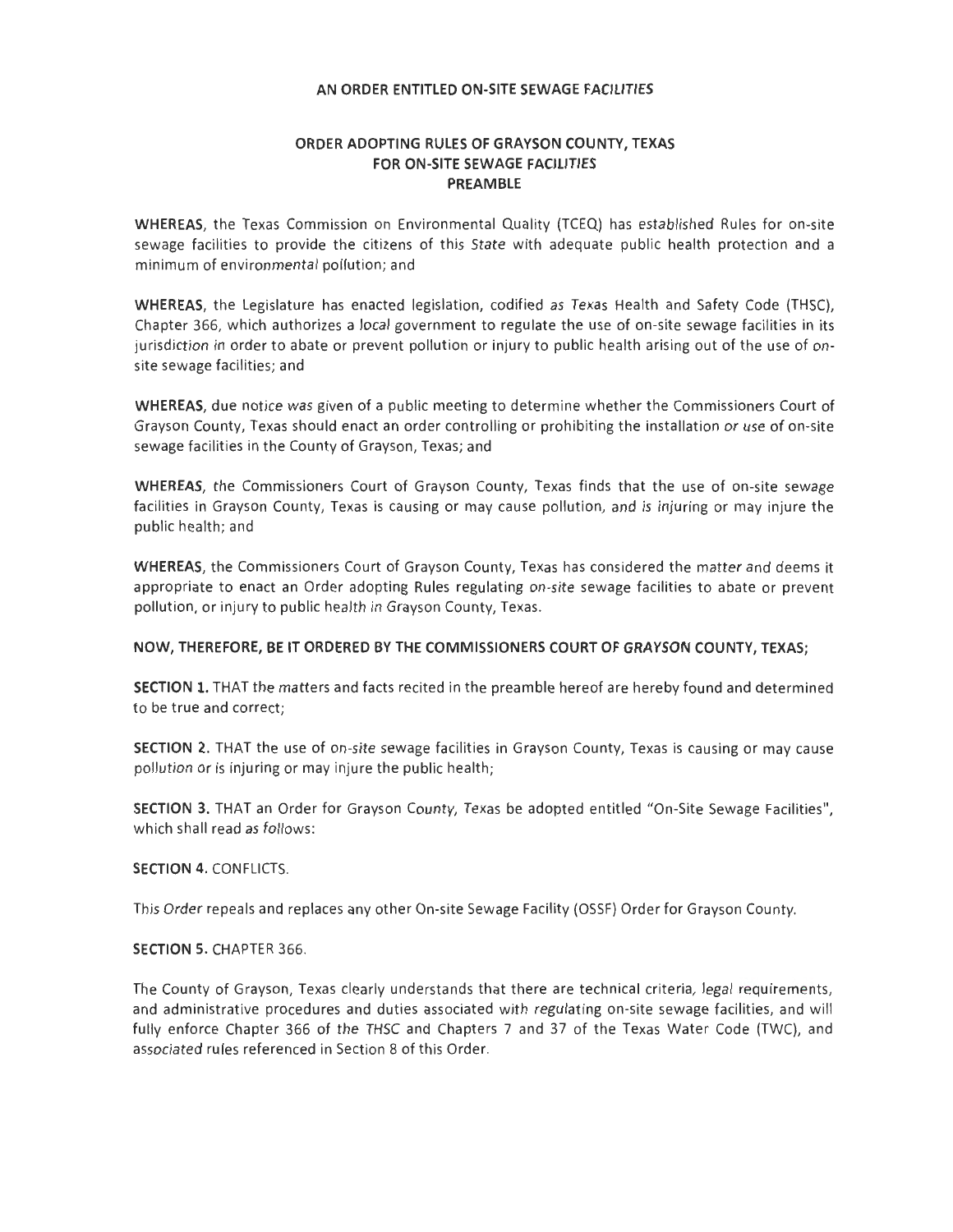# **ORDER ADOPTING RULES OF GRAYSON COUNTY, TEXAS FOR ON-SITE SEWAGE FACILITIES PREAMBLE**

**WHEREAS,** the Texas Commission on Environmental Quality (TCEQ) has established Rules for on -site sewage facilities to provide the citizens of this State with adequate public health protection and a minimum of environmental pollution; and

**WHEREAS,** the Legislature has enacted legislation, codified as Texas Health and Safety Code (THSC), Chapter 366, which authorizes a local government to regulate the use of on-site sewage facilities in its jurisdiction in order to abate or prevent pollution or injury to public health arising out of the use of onsite sewage facilities; and

**WHEREAS,** due notice was given of a public meeting to determine whether the Commissioners Court of Grayson County, Texas should enact an order controlling or prohibiting the installation or use of on-site sewage facilities in the County of Grayson, Texas; and

**WHEREAS,** the Commissioners Court of Grayson County, Texas finds that the use of on-site sewage facilities in Grayson County, Texas is causing or may cause pollution, and is injuring or may injure the public health; and

**WHEREAS,** the Commissioners Court of Grayson County, Texas has considered the matter and deems it appropriate to enact an Order adopting Rules regulating on-site sewage facilities to abate or prevent pollution, or injury to public health in Grayson County, Texas.

# **NOW, THEREFORE, BE IT ORDERED BY THE COMMISSIONERS COURT OF GRAYSON COUNTY, TEXAS;**

**SECTION 1.** THAT the matters and facts recited in the preamble hereof are hereby found and determined to be true and correct;

**SECTION 2.** THAT the use of on-site sewage facilities in Grayson County, Texas is causing or may cause pollution or is injuring or may injure the public health;

**SECTION** 3. THAT an Order for Grayson County, Texas be adopted entitled "On-Site Sewage Facilities", which shall read as follows:

# **SECTION 4.** CONFLICTS.

This Order repeals and replaces any other On-site Sewage Facility (OSSF) Order for Grayson County.

# **SECTION** 5. CHAPTER 366.

The County of Grayson, Texas clearly understands that there are technical criteria, legal requirements, and administrative procedures and duties associated with regulating on-site sewage facilities, and will fully enforce Chapter 366 of the THSC and Chapters 7 and 37 of the Texas Water Code (TWC), and associated rules referenced in Section 8 of this Order.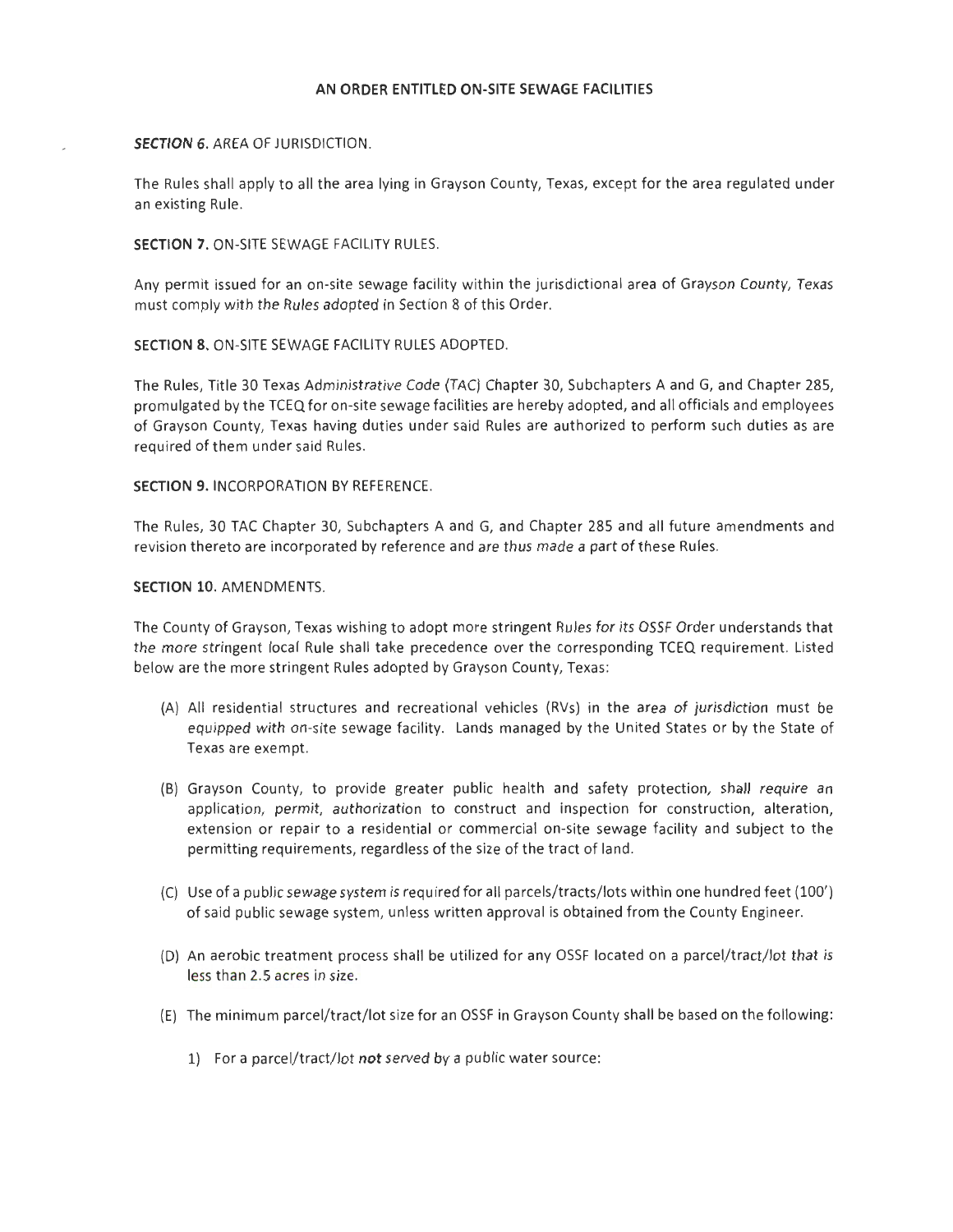### **SECTION 6.** AREA OF JURISDICTION.

The Rules shall apply to all the area lying in Grayson County, Texas, except for the area regulated under an existing Rule.

### **SECTION 7.** ON-SITE SEWAGE FACILITY RULES.

Any permit issued for an on-site sewage facility within the jurisdictional area of Grayson County, Texas must comply with the Rules adopted in Section 8 of this Order.

# **SECTION** 8. ON -SITE SEWAGE FACILITY RULES ADOPTED.

The Rules, Title 30 Texas Administrative Code (TAC) Chapter 30, Subchapters A and G, and Chapter 285, promulgated by the TCEQ for on-site sewage facilities are hereby adopted, and all officials and employees of Grayson County, Texas having duties under said Rules are authorized to perform such duties as are required of them under said Rules.

### **SECTION 9.** INCORPORATION BY REFERENCE.

The Rules, 30 TAC Chapter 30, Subchapters A and G, and Chapter 285 and all future amendments and revision thereto are incorporated by reference and are thus made a part of these Rules.

#### **SECTION 10.** AMENDMENTS.

The County of Grayson, Texas wishing to adopt more stringent Rules for its OSSF Order understands that the more stringent local Rule shall take precedence over the corresponding TCEQ requirement. Listed below are the more stringent Rules adopted by Grayson County, Texas:

- (A) All residential structures and recreational vehicles (RVs) in the area of jurisdiction must be equipped with on-site sewage facility. Lands managed by the United States or by the State of Texas are exempt.
- (B) Grayson County, to provide greater public health and safety protection, shall require an application, permit, authorization to construct and inspection for construction, alteration, extension or repair to a residential or commercial on-site sewage facility and subject to the permitting requirements, regardless of the size of the tract of land.
- (C) Use of a public sewage system is required for all parcels/tracts/lots within one hundred feet (100') of said public sewage system, unless written approval is obtained from the County Engineer.
- (D) An aerobic treatment process shall be utilized for any OSSF located on a parcel/tract/lot that is less than 2.5 acres in size.
- (E) The minimum parcel/tract/lot size for an OSSF in Grayson County shall be based on the following:
	- 1) For a parcel/tract/lot **not** served by a public water source: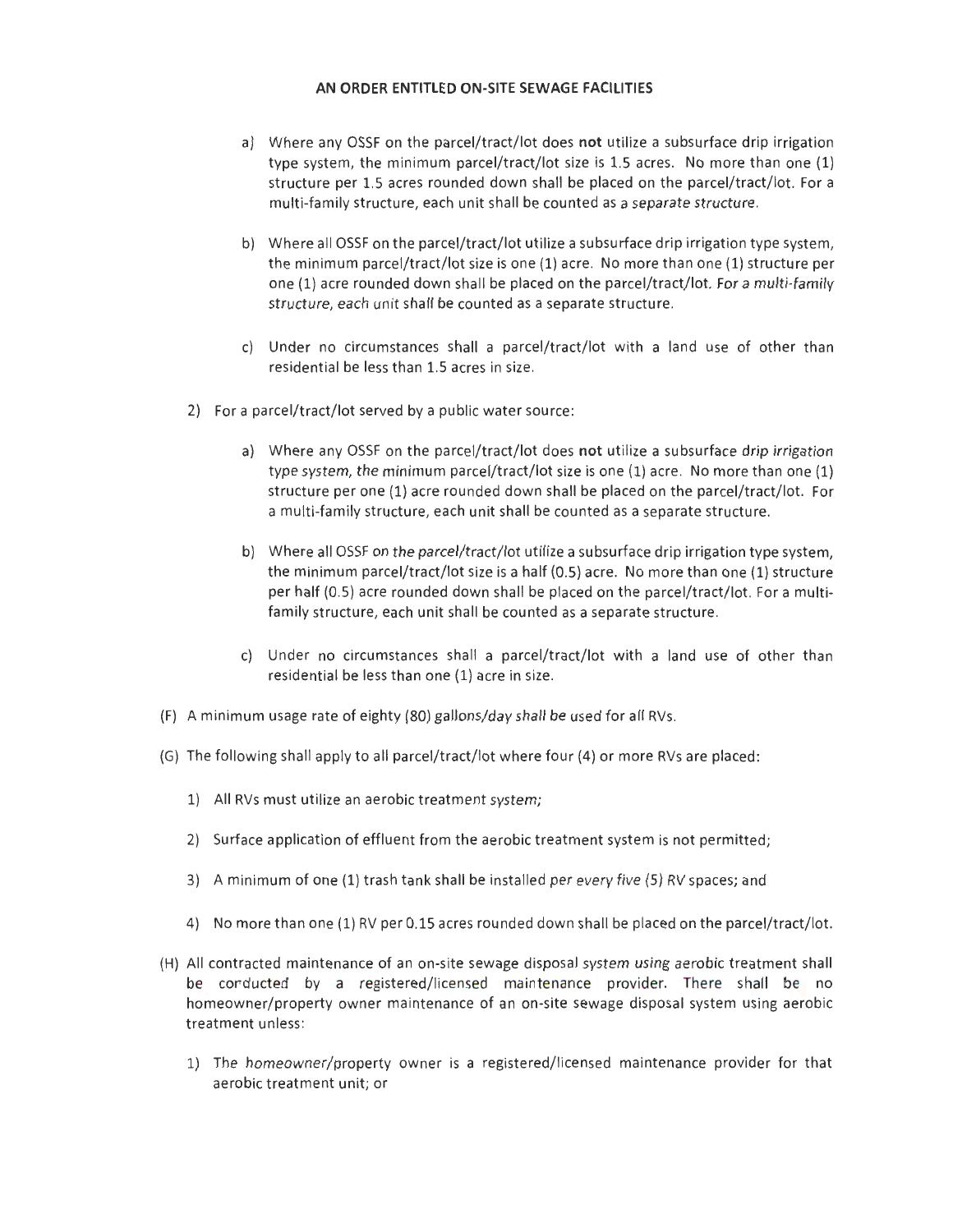- a) Where any OSSF on the parcel/tract/lot does **not** utilize a subsurface drip irrigation type system, the minimum parcel/tract/lot size is 1.5 acres. No more than one (1) structure per 1.5 acres rounded down shall be placed on the parcel/tract/lot. For a multi-family structure, each unit shall be counted as a separate structure.
- b) Where all OSSF on the parcel/tract/lot utilize a subsurface drip irrigation type system, the minimum parcel/tract/lot size is one (1) acre. No more than one (1) structure per one (1) acre rounded down shall be placed on the parcel/tract/lot. For a multi-family structure, each unit shall be counted as a separate structure.
- c) Under no circumstances shall a parcel/tract/lot with a land use of other than residential be less than 1.5 acres in size.
- 2) For a parcel/tract/lot served by a public water source:
	- a) Where any OSSF on the parcel/tract/lot does **not** utilize a subsurface drip irrigation type system, the minimum parcel/tract/lot size is one (1) acre. No more than one (1) structure per one (1) acre rounded down shall be placed on the parcel/tract/lot. For a multi-family structure, each unit shall be counted as a separate structure.
	- b) Where all OSSF on the parcel/tract/lot utilize a subsurface drip irrigation type system, the minimum parcel/tract/lot size is a half (0.5) acre. No more than one (1) structure per half (0.5) acre rounded down shall be placed on the parcel/tract/lot. For a multifamily structure, each unit shall be counted as a separate structure.
	- c) Under no circumstances shall a parcel/tract/lot with a land use of other than residential be less than one (1) acre in size.
- (F) A minimum usage rate of eighty (80) gallons/day shall be used for all RVs.
- (G) The following shall apply to all parcel/tract/lot where four (4) or more RVs are placed :
	- 1) All RVs must utilize an aerobic treatment system;
	- 2) Surface application of effluent from the aerobic treatment system is not permitted;
	- 3) A minimum of one (1) trash tank shall be installed per every five (5) RV spaces; and
	- 4) No more than one (1) RV per 0.15 acres rounded down shall be placed on the parcel/tract/lot.
- (H) All contracted maintenance of an on-site sewage disposal system using aerobic treatment shall be conducted by a registered/licensecl mairtenarice provider. There shall be no homeowner/property owner maintenance of an on-site sewage disposal system using aerobic treatment unless:
	- 1) The homeowner/property owner is a registered/licensed maintenance provider for that aerobic treatment unit; or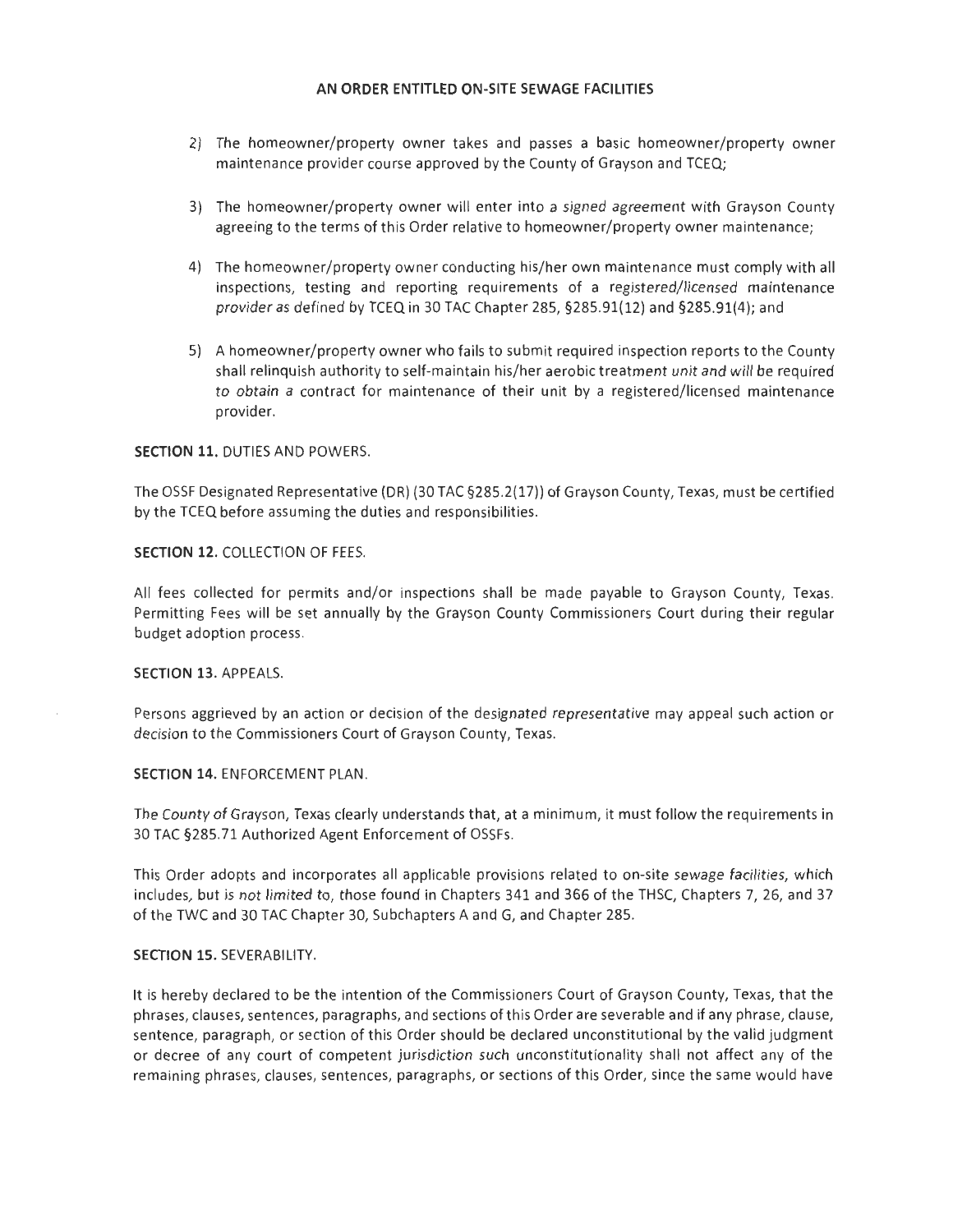- 2) The homeowner/property owner takes and passes a basic homeowner/property owner maintenance provider course approved by the County of Grayson and TCEQ;
- 3) The homeowner/property owner will enter into a signed agreement with Grayson County agreeing to the terms of this Order relative to homeowner/property owner maintenance;
- 4) The homeowner/property owner conducting his/her own maintenance must comply with all inspections, testing and reporting requirements of a registered/licensed maintenance provider as defined by TCEQ in 30 TAC Chapter 285, §285.91(12) and §285.91(4); and
- 5) A homeowner/property owner who fails to submit required inspection reports to the County shall relinquish authority to self-maintain his/her aerobic treatment unit and will be required to obtain a contract for maintenance of their unit by a registered/licensed maintenance provider.

### **SECTION 11.** DUTIES AND POWERS.

The OSSF Designated Representative (DR) (30 TAC §285.2(17)) of Grayson County, Texas, must be certified by the TCEQ before assuming the duties and responsibilities.

### **SECTION 12.** COLLECTION OF FEES.

All fees collected for permits and/or inspections shall be made payable to Grayson County, Texas. Permitting Fees will be set annually by the Grayson County Commissioners Court during their regular budget adoption process.

#### **SECTION** 13. APPEALS.

Persons aggrieved by an action or decision of the designated representative may appeal such action or decision to the Commissioners Court of Grayson County, Texas.

#### **SECTION 14. ENFORCEMENT PLAN.**

The County of Grayson, Texas clearly understands that, at a minimum, it must follow the requirements in 30 TAC §285.71 Authorized Agent Enforcement of OSSFs .

This Order adopts and incorporates all applicable provisions related to on-site sewage facilities, which includes, but is not limited to, those found in Chapters 341 and 366 of the THSC, Chapters 7, 26, and 37 of the TWC and 30 TAC Chapter 30, Subchapters A and G, and Chapter 285.

#### **SECTION 15.** SEVERABILITY.

It is hereby declared to be the intention of the Commissioners Court of Grayson County, Texas, that the phrases, clauses, sentences, paragraphs, and sections of this Order are severable and if any phrase, clause, sentence, paragraph, or section of this Order should be declared unconstitutional by the valid judgment or decree of any court of competent jurisdiction such unconstitutionality shall not affect any of the remaining phrases, clauses, sentences, paragraphs, or sections of this Order, since the same would have